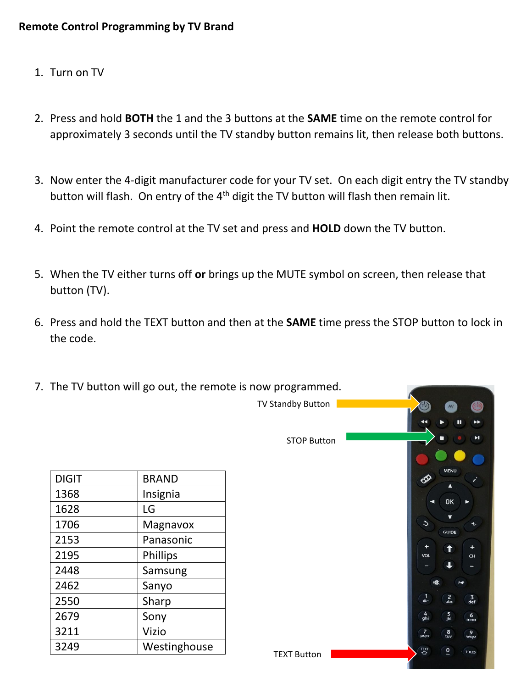- 1. Turn on TV
- 2. Press and hold **BOTH** the 1 and the 3 buttons at the **SAME** time on the remote control for approximately 3 seconds until the TV standby button remains lit, then release both buttons.
- 3. Now enter the 4-digit manufacturer code for your TV set. On each digit entry the TV standby button will flash. On entry of the  $4<sup>th</sup>$  digit the TV button will flash then remain lit.
- 4. Point the remote control at the TV set and press and **HOLD** down the TV button.
- 5. When the TV either turns off **or** brings up the MUTE symbol on screen, then release that button (TV).
- 6. Press and hold the TEXT button and then at the **SAME** time press the STOP button to lock in the code.

|              |              | 7. The TV button will go out, the remote is now programmed. |                             |                                         |                         |
|--------------|--------------|-------------------------------------------------------------|-----------------------------|-----------------------------------------|-------------------------|
|              |              | TV Standby Button                                           |                             | AV<br>Ш                                 | (STB)<br>▸▶             |
|              |              | <b>STOP Button</b>                                          |                             |                                         | $\blacktriangleright$ l |
| <b>DIGIT</b> | <b>BRAND</b> |                                                             | $\bigotimes$                | <b>MENU</b><br>Δ                        |                         |
| 1368         | Insignia     |                                                             | ◢                           |                                         |                         |
| 1628         | LG           |                                                             |                             | OK                                      |                         |
| 1706         | Magnavox     |                                                             | $\mathcal{L}$               | $\overline{\textbf{v}}$<br><b>GUIDE</b> |                         |
| 2153         | Panasonic    |                                                             |                             |                                         | +                       |
| 2195         | Phillips     |                                                             | VOL                         | ↑                                       | CH                      |
| 2448         | Samsung      |                                                             |                             |                                         |                         |
| 2462         | Sanyo        |                                                             | 咪                           | P4P                                     |                         |
| 2550         | Sharp        |                                                             | $\frac{1}{6}$               | $\frac{2}{abc}$                         | $\frac{3}{\text{def}}$  |
| 2679         | Sony         |                                                             | $\frac{4}{ghi}$             | $\frac{5}{1}$                           | $6$ <sub>mno</sub>      |
| 3211         | Vizio        |                                                             | $\frac{7}{\text{pqrs}}$     | $\frac{8}{\text{tuv}}$                  | $\frac{9}{wxyz}$        |
| 3249         | Westinghouse |                                                             |                             |                                         | TITLES                  |
|              |              | <b>TEXT Button</b>                                          | $\overline{Q}^{\text{EXT}}$ | $\overline{0}$                          |                         |